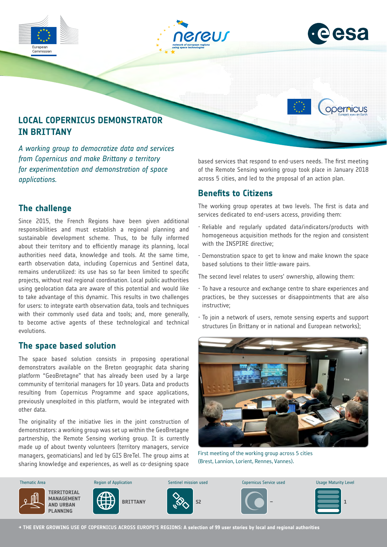



opernicus

# **LOCAL COPERNICUS DEMONSTRATOR IN BRITTANY**

*A working group to democratize data and services from Copernicus and make Brittany a territory for experimentation and demonstration of space applications.*

## **The challenge**

Since 2015, the French Regions have been given additional responsibilities and must establish a regional planning and sustainable development scheme. Thus, to be fully informed about their territory and to efficiently manage its planning, local authorities need data, knowledge and tools. At the same time, earth observation data, including Copernicus and Sentinel data, remains underutilized: its use has so far been limited to specific projects, without real regional coordination. Local public authorities using geolocation data are aware of this potential and would like to take advantage of this dynamic. This results in two challenges for users: to integrate earth observation data, tools and techniques with their commonly used data and tools; and, more generally, to become active agents of these technological and technical evolutions.

#### **The space based solution**

The space based solution consists in proposing operational demonstrators available on the Breton geographic data sharing platform "GeoBretagne" that has already been used by a large community of territorial managers for 10 years. Data and products resulting from Copernicus Programme and space applications, previously unexploited in this platform, would be integrated with other data.

The originality of the initiative lies in the joint construction of demonstrators: a working group was set up within the GeoBretagne partnership, the Remote Sensing working group. It is currently made up of about twenty volunteers (territory managers, service managers, geomaticians) and led by GIS BreTel. The group aims at sharing knowledge and experiences, as well as co-designing space based services that respond to end-users needs. The first meeting of the Remote Sensing working group took place in January 2018 across 5 cities, and led to the proposal of an action plan.

## **Benefits to Citizens**

The working group operates at two levels. The first is data and services dedicated to end-users access, providing them:

- Reliable and regularly updated data/indicators/products with homogeneous acquisition methods for the region and consistent with the INSPIRE directive;
- Demonstration space to get to know and make known the space based solutions to their little-aware pairs.

The second level relates to users' ownership, allowing them:

- To have a resource and exchange centre to share experiences and practices, be they successes or disappointments that are also instructive;
- To join a network of users, remote sensing experts and support structures (in Brittany or in national and European networks);



First meeting of the working group across 5 cities (Brest, Lannion, Lorient, Rennes, Vannes).



**→ THE EVER GROWING USE OF COPERNICUS ACROSS EUROPE'S REGIONS: A selection of 99 user stories by local and regional authorities**